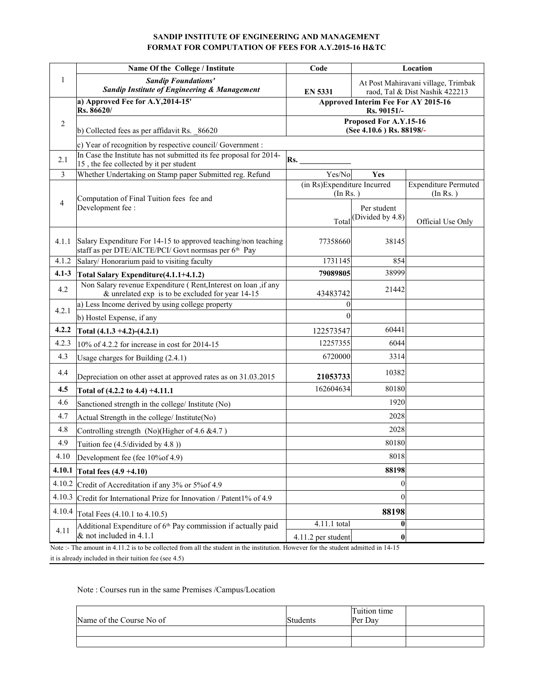#### **SANDIP INSTITUTE OF ENGINEERING AND MANAGEMENT FORMAT FOR COMPUTATION OF FEES FOR A.Y.2015-16 H&TC**

|                          | Name Of the College / Institute                                                                                                        | Code                                     |                                                    | Location                                                              |  |
|--------------------------|----------------------------------------------------------------------------------------------------------------------------------------|------------------------------------------|----------------------------------------------------|-----------------------------------------------------------------------|--|
| $\mathbf{1}$             | <b>Sandip Foundations'</b><br>Sandip Institute of Engineering & Management                                                             | <b>EN 5331</b>                           |                                                    | At Post Mahiravani village, Trimbak<br>raod, Tal & Dist Nashik 422213 |  |
|                          | a) Approved Fee for A.Y, $2014-15'$<br>Rs. 86620/                                                                                      |                                          | Approved Interim Fee For AY 2015-16<br>Rs. 90151/- |                                                                       |  |
| $\overline{2}$           | b) Collected fees as per affidavit Rs. 86620                                                                                           |                                          | Proposed For A.Y.15-16<br>(See 4.10.6) Rs. 88198/- |                                                                       |  |
|                          | c) Year of recognition by respective council/ Government :                                                                             |                                          |                                                    |                                                                       |  |
| 2.1                      | In Case the Institute has not submitted its fee proposal for 2014-<br>15, the fee collected by it per student                          | Rs.                                      |                                                    |                                                                       |  |
| 3                        | Whether Undertaking on Stamp paper Submitted reg. Refund                                                                               | Yes/No                                   | Yes                                                |                                                                       |  |
|                          | Computation of Final Tuition fees fee and                                                                                              | (in Rs)Expenditure Incurred<br>(In Rs. ) |                                                    | <b>Expenditure Permuted</b><br>(In Rs. )                              |  |
| $\overline{\mathcal{L}}$ | Development fee :                                                                                                                      | Total                                    | Per student<br>(Divided by 4.8)                    | Official Use Only                                                     |  |
| 4.1.1                    | Salary Expenditure For 14-15 to approved teaching/non teaching<br>staff as per DTE/AICTE/PCI/ Govt normsas per 6 <sup>th</sup> Pay     | 77358660                                 | 38145                                              |                                                                       |  |
| 4.1.2                    | Salary/ Honorarium paid to visiting faculty                                                                                            | 1731145                                  | 854                                                |                                                                       |  |
| $4.1 - 3$                | Total Salary Expenditure(4.1.1+4.1.2)                                                                                                  | 79089805                                 | 38999                                              |                                                                       |  |
| 4.2                      | Non Salary revenue Expenditure (Rent, Interest on loan, if any<br>& unrelated exp is to be excluded for year 14-15                     | 43483742                                 | 21442                                              |                                                                       |  |
| 4.2.1                    | a) Less Income derived by using college property                                                                                       | 0                                        |                                                    |                                                                       |  |
|                          | b) Hostel Expense, if any                                                                                                              | $\theta$                                 |                                                    |                                                                       |  |
| 4.2.2                    | Total (4.1.3 +4.2)-(4.2.1)                                                                                                             | 122573547                                | 60441                                              |                                                                       |  |
| 4.2.3                    | 10% of 4.2.2 for increase in cost for 2014-15                                                                                          | 12257355                                 | 6044                                               |                                                                       |  |
| 4.3                      | Usage charges for Building (2.4.1)                                                                                                     | 6720000                                  | 3314                                               |                                                                       |  |
| 4.4                      | Depreciation on other asset at approved rates as on 31.03.2015                                                                         | 21053733                                 | 10382                                              |                                                                       |  |
| 4.5                      | Total of (4.2.2 to 4.4) +4.11.1                                                                                                        | 162604634                                | 80180                                              |                                                                       |  |
| 4.6                      | Sanctioned strength in the college/ Institute (No)                                                                                     |                                          | 1920                                               |                                                                       |  |
| 4.7                      | Actual Strength in the college/ Institute(No)                                                                                          |                                          | 2028                                               |                                                                       |  |
| 4.8                      | Controlling strength (No)(Higher of 4.6 & 4.7)                                                                                         |                                          | 2028                                               |                                                                       |  |
| 4.9                      | Tuition fee (4.5/divided by 4.8))                                                                                                      |                                          | 80180                                              |                                                                       |  |
| 4.10                     | Development fee (fee 10% of 4.9)                                                                                                       |                                          | 8018                                               |                                                                       |  |
| 4.10.1                   | Total fees $(4.9 +4.10)$                                                                                                               |                                          | 88198                                              |                                                                       |  |
| 4.10.2                   | Credit of Accreditation if any 3% or 5% of 4.9                                                                                         |                                          | $\theta$                                           |                                                                       |  |
| 4.10.3                   | Credit for International Prize for Innovation / Patent1% of 4.9                                                                        |                                          | $\theta$                                           |                                                                       |  |
| 4.10.4                   | Total Fees (4.10.1 to 4.10.5)                                                                                                          |                                          | 88198                                              |                                                                       |  |
| 4.11                     | Additional Expenditure of 6 <sup>th</sup> Pay commission if actually paid<br>$&$ not included in 4.1.1                                 | 4.11.1 total<br>4.11.2 per student       | $\bf{0}$<br>$\bf{0}$                               |                                                                       |  |
|                          | Note :- The amount in $4.11.2$ is to be collected from all the student in the institution. However for the student admitted in $14-15$ |                                          |                                                    |                                                                       |  |

it is already included in their tuition fee (see 4.5)

#### Note : Courses run in the same Premises /Campus/Location

| Name of the Course No of | Students | Tuition time<br>Per Dav |  |
|--------------------------|----------|-------------------------|--|
|                          |          |                         |  |
|                          |          |                         |  |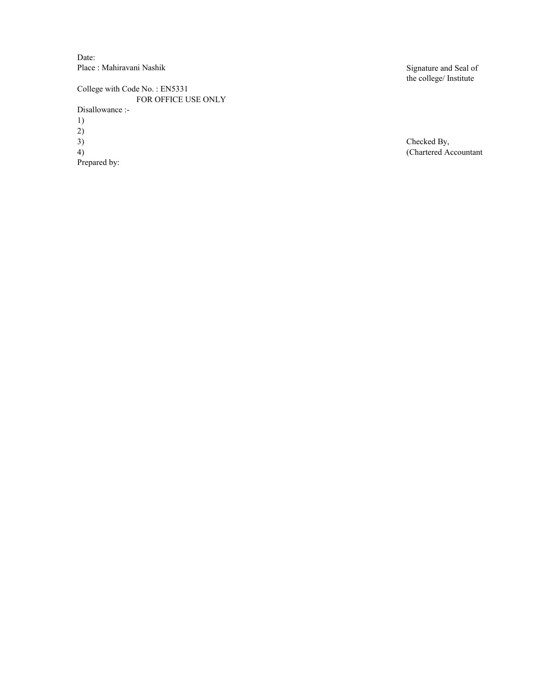Date: Place : Mahiravani Nashik

College with Code No. : EN5331 FOR OFFICE USE ONLY 1) 2) 3) Checked By, (Chartered Actor) Prepared by: Disallowance :-

Signature and Seal of the college/ Institute

(Chartered Accountant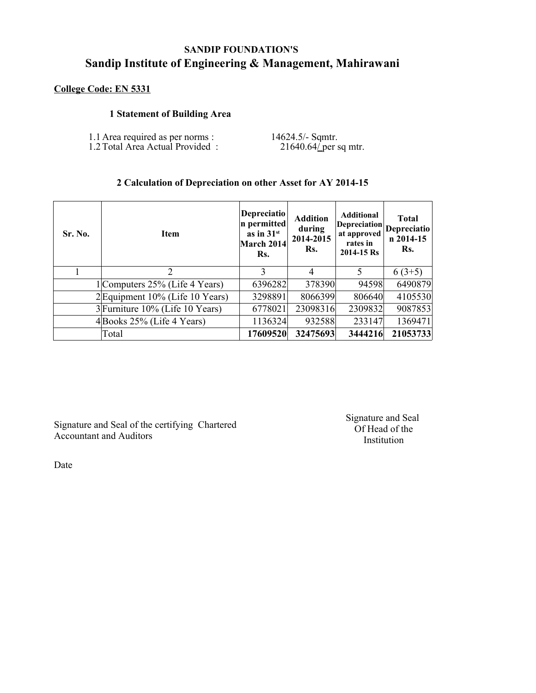# **SANDIP FOUNDATION'S Sandip Institute of Engineering & Management, Mahirawani**

# **College Code: EN 5331**

## **1 Statement of Building Area**

| 1.1 Area required as per norms : | 14624.5/- Sqmtr.       |
|----------------------------------|------------------------|
| 1.2 Total Area Actual Provided:  | $21640.64$ per sq mtr. |

## **2 Calculation of Depreciation on other Asset for AY 2014-15**

| <b>Sr. No.</b> | <b>Item</b>                     | <b>Depreciatio</b><br>n permitted<br>as in $31st$<br>March 2014<br>Rs. | <b>Addition</b><br>during<br>2014-2015<br>Rs. | <b>Additional</b><br><b>Depreciation</b><br>at approved<br>rates in<br>2014-15 Rs | <b>Total</b><br>Depreciatio<br>n 2014-15<br>Rs. |
|----------------|---------------------------------|------------------------------------------------------------------------|-----------------------------------------------|-----------------------------------------------------------------------------------|-------------------------------------------------|
|                | $\mathcal{D}_{\mathcal{L}}$     | 3                                                                      | $\overline{A}$                                | 5                                                                                 | $6(3+5)$                                        |
|                | 1 Computers 25% (Life 4 Years)  | 6396282                                                                | 378390                                        | 94598                                                                             | 6490879                                         |
|                | 2 Equipment 10% (Life 10 Years) | 3298891                                                                | 8066399                                       | 806640                                                                            | 4105530                                         |
|                | 3 Furniture 10% (Life 10 Years) | 6778021                                                                | 23098316                                      | 2309832                                                                           | 9087853                                         |
|                | $4$ Books 25% (Life 4 Years)    | 1136324                                                                | 932588                                        | 233147                                                                            | 1369471                                         |
|                | Total                           | 17609520                                                               | 32475693                                      | 3444216                                                                           | 21053733                                        |

Signature and Seal of the certifying Chartered Accountant and Auditors

Signature and Seal Of Head of the Institution

Date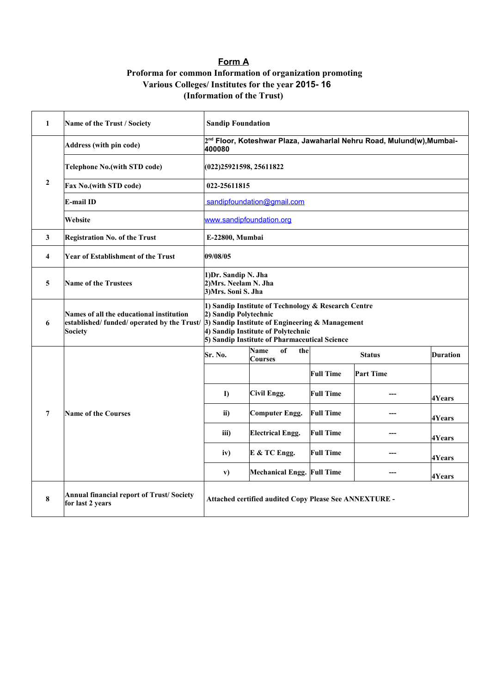## **Form A**

## **Proforma for common Information of organization promoting (Information of the Trust) Various Colleges/ Institutes for the year 2015- 16**

| 1                | Name of the Trust / Society                                         | <b>Sandip Foundation</b>                                                                                                                                                                                                                                           |                                                        |                  |                                                                                   |                 |  |  |
|------------------|---------------------------------------------------------------------|--------------------------------------------------------------------------------------------------------------------------------------------------------------------------------------------------------------------------------------------------------------------|--------------------------------------------------------|------------------|-----------------------------------------------------------------------------------|-----------------|--|--|
|                  | <b>Address (with pin code)</b>                                      | 400080                                                                                                                                                                                                                                                             |                                                        |                  | 2 <sup>nd</sup> Floor, Koteshwar Plaza, Jawaharlal Nehru Road, Mulund(w), Mumbai- |                 |  |  |
|                  | <b>Telephone No. (with STD code)</b>                                | (022)25921598, 25611822                                                                                                                                                                                                                                            |                                                        |                  |                                                                                   |                 |  |  |
| $\boldsymbol{2}$ | Fax No.(with STD code)                                              | 022-25611815                                                                                                                                                                                                                                                       |                                                        |                  |                                                                                   |                 |  |  |
|                  | E-mail ID                                                           | sandipfoundation@gmail.com                                                                                                                                                                                                                                         |                                                        |                  |                                                                                   |                 |  |  |
|                  | Website                                                             |                                                                                                                                                                                                                                                                    | www.sandipfoundation.org                               |                  |                                                                                   |                 |  |  |
| $\mathbf{3}$     | <b>Registration No. of the Trust</b>                                | E-22800, Mumbai                                                                                                                                                                                                                                                    |                                                        |                  |                                                                                   |                 |  |  |
| 4                | <b>Year of Establishment of the Trust</b>                           | 09/08/05                                                                                                                                                                                                                                                           |                                                        |                  |                                                                                   |                 |  |  |
| 5                | <b>Name of the Trustees</b>                                         | 1) Dr. Sandip N. Jha<br>2) Mrs. Neelam N. Jha<br>3) Mrs. Soni S. Jha                                                                                                                                                                                               |                                                        |                  |                                                                                   |                 |  |  |
| 6                | Names of all the educational institution<br><b>Society</b>          | 1) Sandip Institute of Technology & Research Centre<br>2) Sandip Polytechnic<br>established/ funded/ operated by the Trust/ 3) Sandip Institute of Engineering & Management<br>4) Sandip Institute of Polytechnic<br>5) Sandip Institute of Pharmaceutical Science |                                                        |                  |                                                                                   |                 |  |  |
|                  |                                                                     | Sr. No.                                                                                                                                                                                                                                                            | of<br>the<br><b>Name</b><br><b>Courses</b>             |                  | <b>Status</b>                                                                     | <b>Duration</b> |  |  |
|                  |                                                                     |                                                                                                                                                                                                                                                                    |                                                        | <b>Full Time</b> | <b>Part Time</b>                                                                  |                 |  |  |
|                  |                                                                     | $\bf{D}$                                                                                                                                                                                                                                                           | Civil Engg.                                            | <b>Full Time</b> |                                                                                   | 4Years          |  |  |
| $\overline{7}$   | <b>Name of the Courses</b>                                          | ii)                                                                                                                                                                                                                                                                | <b>Computer Engg.</b>                                  | <b>Full Time</b> |                                                                                   | 4Years          |  |  |
|                  |                                                                     | iii)                                                                                                                                                                                                                                                               | <b>Electrical Engg.</b>                                | <b>Full Time</b> |                                                                                   | 4Years          |  |  |
|                  |                                                                     | iv)                                                                                                                                                                                                                                                                | E & TC Engg.                                           | <b>Full Time</b> |                                                                                   | 4Years          |  |  |
|                  |                                                                     | v)                                                                                                                                                                                                                                                                 | ---                                                    | 4Years           |                                                                                   |                 |  |  |
| 8                | <b>Annual financial report of Trust/Society</b><br>for last 2 years |                                                                                                                                                                                                                                                                    | Attached certified audited Copy Please See ANNEXTURE - |                  |                                                                                   |                 |  |  |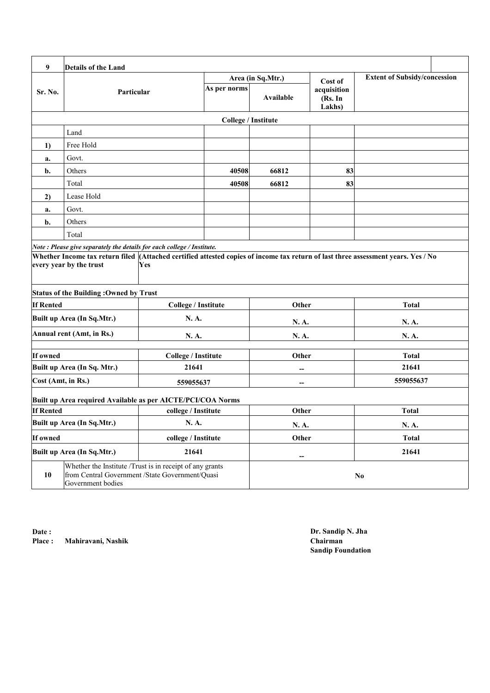| 9                          | <b>Details of the Land</b>                                                                                                       |                            |                            |                   |                                  |                                                                                                                                   |  |
|----------------------------|----------------------------------------------------------------------------------------------------------------------------------|----------------------------|----------------------------|-------------------|----------------------------------|-----------------------------------------------------------------------------------------------------------------------------------|--|
|                            |                                                                                                                                  |                            |                            | Area (in Sq.Mtr.) | Cost of                          | <b>Extent of Subsidy/concession</b>                                                                                               |  |
| Sr. No.                    | Particular                                                                                                                       |                            | As per norms               | Available         | acquisition<br>(Rs. In<br>Lakhs) |                                                                                                                                   |  |
|                            |                                                                                                                                  |                            | <b>College / Institute</b> |                   |                                  |                                                                                                                                   |  |
|                            | Land                                                                                                                             |                            |                            |                   |                                  |                                                                                                                                   |  |
| 1)                         | Free Hold                                                                                                                        |                            |                            |                   |                                  |                                                                                                                                   |  |
| a.                         | Govt.                                                                                                                            |                            |                            |                   |                                  |                                                                                                                                   |  |
| b.                         | Others                                                                                                                           |                            | 40508                      | 66812             | 83                               |                                                                                                                                   |  |
|                            | Total                                                                                                                            |                            | 40508                      | 66812             | 83                               |                                                                                                                                   |  |
| 2)                         | Lease Hold                                                                                                                       |                            |                            |                   |                                  |                                                                                                                                   |  |
| a.                         | Govt.                                                                                                                            |                            |                            |                   |                                  |                                                                                                                                   |  |
| b.                         | Others                                                                                                                           |                            |                            |                   |                                  |                                                                                                                                   |  |
|                            | Total                                                                                                                            |                            |                            |                   |                                  |                                                                                                                                   |  |
|                            | Note: Please give separately the details for each college / Institute.                                                           |                            |                            |                   |                                  |                                                                                                                                   |  |
|                            | every year by the trust                                                                                                          | Yes                        |                            |                   |                                  | Whether Income tax return filed (Attached certified attested copies of income tax return of last three assessment years. Yes / No |  |
|                            | <b>Status of the Building: Owned by Trust</b>                                                                                    |                            |                            |                   |                                  |                                                                                                                                   |  |
| <b>If Rented</b>           |                                                                                                                                  | <b>College / Institute</b> | Other                      |                   |                                  | <b>Total</b>                                                                                                                      |  |
|                            | Built up Area (In Sq.Mtr.)                                                                                                       | N. A.                      |                            | N.A.              |                                  | N. A.                                                                                                                             |  |
|                            | Annual rent (Amt, in Rs.)                                                                                                        | N. A.                      |                            | N.A.              |                                  | N.A.                                                                                                                              |  |
| If owned                   |                                                                                                                                  | <b>College / Institute</b> |                            | Other             |                                  | <b>Total</b>                                                                                                                      |  |
|                            | Built up Area (In Sq. Mtr.)                                                                                                      | 21641                      |                            |                   |                                  | 21641                                                                                                                             |  |
| Cost (Amt, in Rs.)         |                                                                                                                                  | 559055637                  |                            |                   |                                  | 559055637                                                                                                                         |  |
|                            | Built up Area required Available as per AICTE/PCI/COA Norms                                                                      |                            |                            |                   |                                  |                                                                                                                                   |  |
| <b>If Rented</b>           |                                                                                                                                  | college / Institute        |                            | Other             |                                  | <b>Total</b>                                                                                                                      |  |
| Built up Area (In Sq.Mtr.) |                                                                                                                                  | N.A.                       |                            | N.A.              |                                  | N.A.                                                                                                                              |  |
| If owned                   |                                                                                                                                  | college / Institute        |                            | Other             |                                  | <b>Total</b>                                                                                                                      |  |
| Built up Area (In Sq.Mtr.) |                                                                                                                                  | 21641                      |                            | --                |                                  | 21641                                                                                                                             |  |
| 10                         | Whether the Institute /Trust is in receipt of any grants<br>from Central Government /State Government/Quasi<br>Government bodies |                            |                            |                   |                                  | $\mathbf{N}\mathbf{o}$                                                                                                            |  |

**Date : Place : Chairman Mahiravani, Nashik**

**Dr. Sandip N. Jha Sandip Foundation**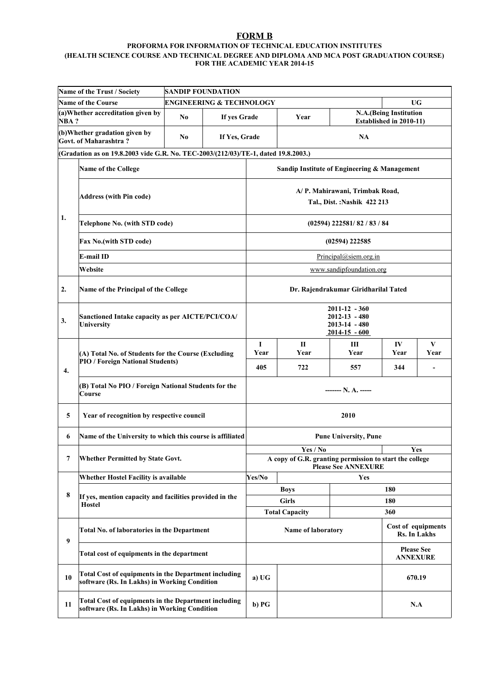#### **FORM B**

### **PROFORMA FOR INFORMATION OF TECHNICAL EDUCATION INSTITUTES**

#### **(HEALTH SCIENCE COURSE AND TECHNICAL DEGREE AND DIPLOMA AND MCA POST GRADUATION COURSE) FOR THE ACADEMIC YEAR 2014-15**

|      | Name of the Trust / Society                                                                                 |                                         | <b>SANDIP FOUNDATION</b>            |                                                                          |                                                               |                                      |                                                   |                                    |  |  |
|------|-------------------------------------------------------------------------------------------------------------|-----------------------------------------|-------------------------------------|--------------------------------------------------------------------------|---------------------------------------------------------------|--------------------------------------|---------------------------------------------------|------------------------------------|--|--|
|      | <b>Name of the Course</b>                                                                                   |                                         | <b>ENGINEERING &amp; TECHNOLOGY</b> |                                                                          |                                                               |                                      | <b>UG</b>                                         |                                    |  |  |
| NBA? | (a) Whether accreditation given by                                                                          | No                                      | If yes Grade                        |                                                                          | Year                                                          |                                      | N.A.(Being Institution<br>Established in 2010-11) |                                    |  |  |
|      | (b)Whether gradation given by<br>Govt. of Maharashtra?                                                      | No                                      | If Yes, Grade                       |                                                                          |                                                               | <b>NA</b>                            |                                                   |                                    |  |  |
|      | (Gradation as on 19.8.2003 vide G.R. No. TEC-2003/(212/03)/TE-1, dated 19.8.2003.)                          |                                         |                                     |                                                                          |                                                               |                                      |                                                   |                                    |  |  |
|      | <b>Name of the College</b>                                                                                  |                                         |                                     |                                                                          | Sandip Institute of Engineering & Management                  |                                      |                                                   |                                    |  |  |
|      | <b>Address (with Pin code)</b>                                                                              |                                         |                                     |                                                                          | A/P. Mahirawani, Trimbak Road,<br>Tal., Dist.: Nashik 422 213 |                                      |                                                   |                                    |  |  |
| 1.   | Telephone No. (with STD code)                                                                               |                                         |                                     |                                                                          |                                                               | (02594) 222581/82 / 83 / 84          |                                                   |                                    |  |  |
|      | <b>Fax No.(with STD code)</b>                                                                               |                                         |                                     |                                                                          |                                                               | $(02594)$ 222585                     |                                                   |                                    |  |  |
|      | E-mail ID                                                                                                   |                                         |                                     |                                                                          |                                                               | Principal@siem.org.in                |                                                   |                                    |  |  |
|      | Website                                                                                                     |                                         |                                     |                                                                          |                                                               | www.sandipfoundation.org             |                                                   |                                    |  |  |
| 2.   | Name of the Principal of the College                                                                        |                                         |                                     |                                                                          |                                                               | Dr. Rajendrakumar Giridharilal Tated |                                                   |                                    |  |  |
| 3.   | Sanctioned Intake capacity as per AICTE/PCI/COA/<br>University                                              |                                         |                                     | 2011-12 - 360<br>2012-13 - 480<br>$2013 - 14 - 480$<br>$2014 - 15 - 600$ |                                                               |                                      |                                                   |                                    |  |  |
|      | (A) Total No. of Students for the Course (Excluding                                                         |                                         | I<br>Year                           | $\mathbf{I}$<br>Year                                                     | Ш<br>Year                                                     | IV<br>Year                           | V<br>Year                                         |                                    |  |  |
| 4.   |                                                                                                             | <b>PIO / Foreign National Students)</b> |                                     |                                                                          | 722                                                           | 557                                  | 344                                               |                                    |  |  |
|      | (B) Total No PIO / Foreign National Students for the<br>Course                                              |                                         |                                     | $--- N.A.$                                                               |                                                               |                                      |                                                   |                                    |  |  |
| 5    | Year of recognition by respective council                                                                   |                                         |                                     |                                                                          |                                                               | 2010                                 |                                                   |                                    |  |  |
| 6    | Name of the University to which this course is affiliated                                                   |                                         |                                     |                                                                          |                                                               | <b>Pune University, Pune</b>         |                                                   |                                    |  |  |
| 7    |                                                                                                             |                                         |                                     |                                                                          | Yes / No                                                      |                                      |                                                   | <b>Yes</b>                         |  |  |
|      | Whether Permitted by State Govt.                                                                            |                                         |                                     |                                                                          | A copy of G.R. granting permission to start the college       | <b>Please See ANNEXURE</b>           |                                                   |                                    |  |  |
|      | Whether Hostel Facility is available                                                                        |                                         |                                     | Yes/No                                                                   |                                                               | Yes                                  |                                                   |                                    |  |  |
| 8    | If yes, mention capacity and facilities provided in the                                                     |                                         |                                     |                                                                          | <b>Boys</b>                                                   |                                      | 180                                               |                                    |  |  |
|      | <b>Hostel</b>                                                                                               |                                         |                                     |                                                                          | <b>Girls</b>                                                  |                                      | 180                                               |                                    |  |  |
|      |                                                                                                             |                                         |                                     |                                                                          | <b>Total Capacity</b>                                         |                                      | 360                                               |                                    |  |  |
| 9    | Total No. of laboratories in the Department                                                                 |                                         |                                     |                                                                          | Name of laboratory                                            |                                      |                                                   | Cost of equipments<br>Rs. In Lakhs |  |  |
|      | Total cost of equipments in the department                                                                  |                                         |                                     |                                                                          |                                                               | <b>Please See</b><br><b>ANNEXURE</b> |                                                   |                                    |  |  |
| 10   | <b>Total Cost of equipments in the Department including</b><br>software (Rs. In Lakhs) in Working Condition |                                         |                                     | a) UG                                                                    |                                                               |                                      |                                                   | 670.19                             |  |  |
| 11   | <b>Total Cost of equipments in the Department including</b><br>software (Rs. In Lakhs) in Working Condition |                                         |                                     | b) PG                                                                    |                                                               |                                      | N.A                                               |                                    |  |  |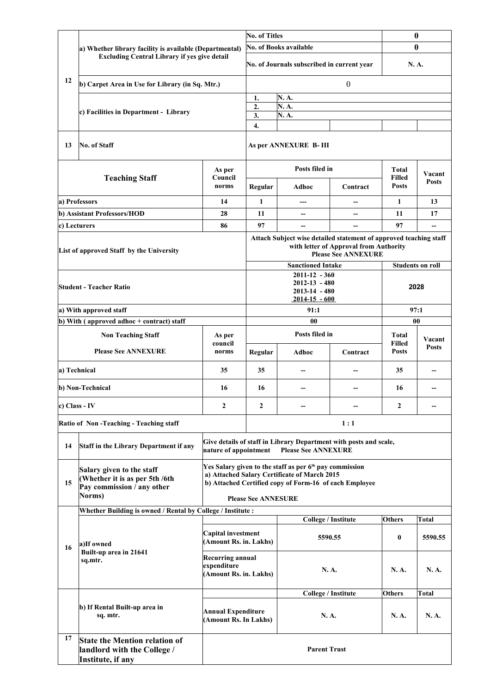|                                           |                                                                                                     |                                                                  | <b>No. of Titles</b>       |                                                                                                                                                                               | $\bf{0}$                                                             |                               |                         |  |
|-------------------------------------------|-----------------------------------------------------------------------------------------------------|------------------------------------------------------------------|----------------------------|-------------------------------------------------------------------------------------------------------------------------------------------------------------------------------|----------------------------------------------------------------------|-------------------------------|-------------------------|--|
|                                           | a) Whether library facility is available (Departmental)                                             |                                                                  |                            | <b>No. of Books available</b>                                                                                                                                                 |                                                                      | $\mathbf{0}$                  |                         |  |
|                                           | <b>Excluding Central Library if yes give detail</b>                                                 |                                                                  |                            | No. of Journals subscribed in current year                                                                                                                                    | N.A.                                                                 |                               |                         |  |
| 12                                        | b) Carpet Area in Use for Library (in Sq. Mtr.)                                                     |                                                                  |                            |                                                                                                                                                                               | $\boldsymbol{0}$                                                     |                               |                         |  |
|                                           |                                                                                                     |                                                                  | 1.                         | N. A.                                                                                                                                                                         |                                                                      |                               |                         |  |
|                                           | c) Facilities in Department - Library                                                               |                                                                  | 2.<br>3.                   | N.A.<br>N.A.                                                                                                                                                                  |                                                                      |                               |                         |  |
|                                           |                                                                                                     |                                                                  | 4.                         |                                                                                                                                                                               |                                                                      |                               |                         |  |
| 13                                        | No. of Staff                                                                                        |                                                                  |                            | As per ANNEXURE B-III                                                                                                                                                         |                                                                      |                               |                         |  |
|                                           |                                                                                                     | As per                                                           |                            | Posts filed in                                                                                                                                                                |                                                                      | <b>Total</b>                  | Vacant                  |  |
|                                           | <b>Teaching Staff</b>                                                                               | Council<br>norms                                                 | Regular                    | Adhoc                                                                                                                                                                         | Contract                                                             | <b>Filled</b><br><b>Posts</b> | <b>Posts</b>            |  |
|                                           | a) Professors                                                                                       | 14                                                               | $\mathbf{1}$               |                                                                                                                                                                               |                                                                      | $\mathbf{1}$                  | 13                      |  |
|                                           | b) Assistant Professors/HOD                                                                         | 28                                                               | 11                         | $\overline{\phantom{a}}$                                                                                                                                                      | $\overline{\phantom{a}}$                                             | 11                            | 17                      |  |
|                                           | c) Lecturers                                                                                        | 86                                                               | 97                         |                                                                                                                                                                               |                                                                      | 97                            |                         |  |
|                                           | List of approved Staff by the University                                                            |                                                                  |                            | Attach Subject wise detailed statement of approved teaching staff                                                                                                             | with letter of Approval from Authority<br><b>Please See ANNEXURE</b> |                               |                         |  |
|                                           |                                                                                                     |                                                                  |                            | <b>Sanctioned Intake</b>                                                                                                                                                      |                                                                      |                               | <b>Students on roll</b> |  |
| <b>Student - Teacher Ratio</b>            |                                                                                                     |                                                                  |                            | $2011 - 12 - 360$<br>$2012 - 13 - 480$<br>$2013 - 14 - 480$<br>$2014 - 15 - 600$                                                                                              |                                                                      |                               | 2028                    |  |
| a) With approved staff                    |                                                                                                     |                                                                  | 91:1                       |                                                                                                                                                                               |                                                                      | 97:1                          |                         |  |
| b) With (approved adhoc + contract) staff |                                                                                                     |                                                                  |                            | 00                                                                                                                                                                            |                                                                      |                               | 00                      |  |
|                                           | <b>Non Teaching Staff</b>                                                                           | As per                                                           |                            | Posts filed in                                                                                                                                                                |                                                                      | <b>Total</b>                  | Vacant                  |  |
|                                           | <b>Please See ANNEXURE</b>                                                                          | council<br>norms                                                 | Regular                    | Adhoc                                                                                                                                                                         | Contract                                                             | <b>Filled</b><br><b>Posts</b> | <b>Posts</b>            |  |
| a) Technical                              |                                                                                                     | 35                                                               | 35                         |                                                                                                                                                                               |                                                                      | 35                            | --                      |  |
|                                           | b) Non-Technical                                                                                    | 16                                                               | 16                         | --                                                                                                                                                                            |                                                                      | 16                            | --                      |  |
| c) Class - IV                             |                                                                                                     | 2                                                                | $\mathbf{2}$               |                                                                                                                                                                               |                                                                      | $\mathbf{2}$                  |                         |  |
|                                           | Ratio of Non-Teaching - Teaching staff                                                              |                                                                  |                            |                                                                                                                                                                               | 1:1                                                                  |                               |                         |  |
| 14                                        | Staff in the Library Department if any                                                              | nature of appointment                                            |                            | Give details of staff in Library Department with posts and scale,<br><b>Please See ANNEXURE</b>                                                                               |                                                                      |                               |                         |  |
| 15                                        | Salary given to the staff<br>(Whether it is as per 5th /6th<br>Pay commission / any other<br>Norms) |                                                                  |                            | Yes Salary given to the staff as per 6 <sup>th</sup> pay commission<br>a) Attached Salary Certificate of March 2015<br>b) Attached Certified copy of Form-16 of each Employee |                                                                      |                               |                         |  |
|                                           |                                                                                                     |                                                                  | <b>Please See ANNESURE</b> |                                                                                                                                                                               |                                                                      |                               |                         |  |
|                                           | Whether Building is owned / Rental by College / Institute :                                         |                                                                  |                            |                                                                                                                                                                               | <b>College / Institute</b>                                           | <b>Others</b>                 | <b>Total</b>            |  |
|                                           | a)If owned                                                                                          | Capital investment<br>(Amount Rs. in. Lakhs)                     |                            |                                                                                                                                                                               | 5590.55                                                              | $\bf{0}$                      | 5590.55                 |  |
| 16                                        | Built-up area in 21641<br>sq.mtr.                                                                   | <b>Recurring annual</b><br>expenditure<br>(Amount Rs. in. Lakhs) |                            | N. A.                                                                                                                                                                         |                                                                      | N. A.                         | N.A.                    |  |
|                                           |                                                                                                     |                                                                  |                            |                                                                                                                                                                               | <b>College / Institute</b>                                           | <b>Others</b>                 | Total                   |  |
|                                           | b) If Rental Built-up area in<br>sq. mtr.                                                           | <b>Annual Expenditure</b><br>(Amount Rs. In Lakhs)               |                            | N.A.                                                                                                                                                                          |                                                                      | N. A.                         | N. A.                   |  |
| 17                                        | <b>State the Mention relation of</b><br>landlord with the College /<br>Institute, if any            |                                                                  |                            | <b>Parent Trust</b>                                                                                                                                                           |                                                                      |                               |                         |  |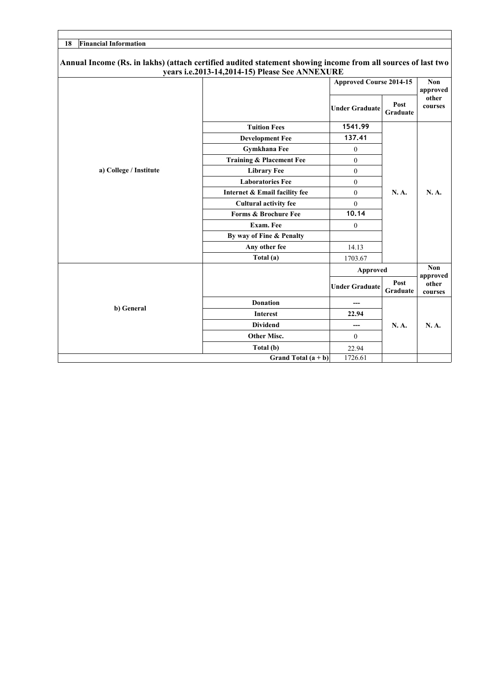| <b>Financial Information</b><br>18                                                                           |                                                |                                |                         |                  |
|--------------------------------------------------------------------------------------------------------------|------------------------------------------------|--------------------------------|-------------------------|------------------|
| Annual Income (Rs. in lakhs) (attach certified audited statement showing income from all sources of last two | years i.e.2013-14,2014-15) Please See ANNEXURE |                                |                         |                  |
|                                                                                                              |                                                | <b>Approved Course 2014-15</b> |                         | Non<br>approved  |
|                                                                                                              |                                                | <b>Under Graduate</b>          | Post<br><b>Graduate</b> | other<br>courses |
|                                                                                                              | <b>Tuition Fees</b>                            | 1541.99                        |                         |                  |
|                                                                                                              | <b>Development Fee</b>                         | 137.41                         |                         |                  |
|                                                                                                              | <b>Gymkhana Fee</b>                            | $\boldsymbol{0}$               |                         | N. A.            |
|                                                                                                              | Training & Placement Fee                       | $\mathbf{0}$                   |                         |                  |
| a) College / Institute                                                                                       | <b>Library Fee</b>                             | $\theta$                       |                         |                  |
|                                                                                                              | <b>Laboratories Fee</b>                        | $\boldsymbol{0}$               | N.A.                    |                  |
|                                                                                                              | Internet & Email facility fee                  | $\overline{0}$                 |                         |                  |
|                                                                                                              | <b>Cultural activity fee</b>                   | $\boldsymbol{0}$               |                         |                  |
|                                                                                                              | <b>Forms &amp; Brochure Fee</b>                | 10.14                          |                         |                  |
|                                                                                                              | Exam. Fee                                      | $\boldsymbol{0}$               |                         |                  |
|                                                                                                              | By way of Fine & Penalty                       |                                |                         |                  |
|                                                                                                              | Any other fee                                  | 14.13                          |                         |                  |
|                                                                                                              | Total (a)                                      | 1703.67                        |                         |                  |
|                                                                                                              |                                                | <b>Approved</b>                |                         | Non<br>approved  |
|                                                                                                              |                                                | <b>Under Graduate</b>          | Post<br>Graduate        | other<br>courses |
|                                                                                                              | <b>Donation</b>                                |                                |                         |                  |
| b) General                                                                                                   | <b>Interest</b>                                | 22.94                          |                         |                  |
|                                                                                                              | <b>Dividend</b>                                | ---                            | N.A.                    | N.A.             |
|                                                                                                              | Other Misc.                                    | $\overline{0}$                 |                         |                  |
|                                                                                                              | Total (b)                                      | 22.94                          |                         |                  |
|                                                                                                              | Grand Total $(a + b)$                          | 1726.61                        |                         |                  |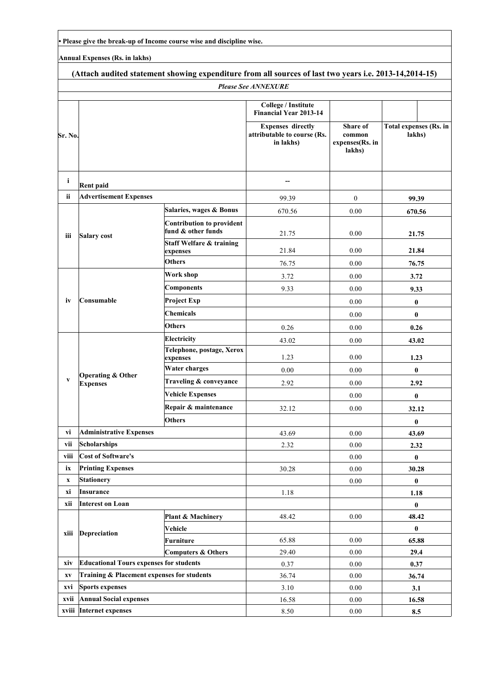**• Please give the break-up of Income course wise and discipline wise.**

**Annual Expenses (Rs. in lakhs)**

| (Attach audited statement showing expenditure from all sources of last two years i.e. 2013-14,2014-15) |                                                 |                                                 |                                                                                                                              |                                                        |                                  |  |  |  |  |
|--------------------------------------------------------------------------------------------------------|-------------------------------------------------|-------------------------------------------------|------------------------------------------------------------------------------------------------------------------------------|--------------------------------------------------------|----------------------------------|--|--|--|--|
| <b>Please See ANNEXURE</b>                                                                             |                                                 |                                                 |                                                                                                                              |                                                        |                                  |  |  |  |  |
| Sr. No.                                                                                                |                                                 |                                                 | College / Institute<br><b>Financial Year 2013-14</b><br><b>Expenses directly</b><br>attributable to course (Rs.<br>in lakhs) | <b>Share of</b><br>common<br>expenses(Rs. in<br>lakhs) | Total expenses (Rs. in<br>lakhs) |  |  |  |  |
| i.                                                                                                     | <b>Rent paid</b>                                |                                                 |                                                                                                                              |                                                        |                                  |  |  |  |  |
| ii                                                                                                     | <b>Advertisement Expenses</b>                   |                                                 | 99.39                                                                                                                        | $\boldsymbol{0}$                                       | 99.39                            |  |  |  |  |
|                                                                                                        |                                                 | Salaries, wages & Bonus                         | 670.56                                                                                                                       | 0.00                                                   | 670.56                           |  |  |  |  |
|                                                                                                        |                                                 | <b>Contribution to provident</b>                |                                                                                                                              |                                                        |                                  |  |  |  |  |
| iii                                                                                                    | Salary cost                                     | fund & other funds                              | 21.75                                                                                                                        | 0.00                                                   | 21.75                            |  |  |  |  |
|                                                                                                        |                                                 | <b>Staff Welfare &amp; training</b><br>expenses | 21.84                                                                                                                        | 0.00                                                   | 21.84                            |  |  |  |  |
|                                                                                                        |                                                 | <b>Others</b>                                   | 76.75                                                                                                                        | 0.00                                                   | 76.75                            |  |  |  |  |
|                                                                                                        |                                                 | Work shop                                       | 3.72                                                                                                                         | 0.00                                                   | 3.72                             |  |  |  |  |
|                                                                                                        |                                                 | <b>Components</b>                               | 9.33                                                                                                                         | 0.00                                                   | 9.33                             |  |  |  |  |
| iv                                                                                                     | Consumable                                      | <b>Project Exp</b>                              |                                                                                                                              | 0.00                                                   | $\bf{0}$                         |  |  |  |  |
|                                                                                                        |                                                 | <b>Chemicals</b>                                |                                                                                                                              | 0.00                                                   | $\bf{0}$                         |  |  |  |  |
|                                                                                                        |                                                 | <b>Others</b>                                   | 0.26                                                                                                                         | 0.00                                                   | 0.26                             |  |  |  |  |
|                                                                                                        |                                                 | Electricity                                     | 43.02                                                                                                                        | 0.00                                                   | 43.02                            |  |  |  |  |
|                                                                                                        | <b>Operating &amp; Other</b><br><b>Expenses</b> | Telephone, postage, Xerox<br>expenses           | 1.23                                                                                                                         | 0.00                                                   | 1.23                             |  |  |  |  |
|                                                                                                        |                                                 | <b>Water charges</b>                            | 0.00                                                                                                                         | 0.00                                                   | $\bf{0}$                         |  |  |  |  |
| $\mathbf{V}$                                                                                           |                                                 | Traveling & conveyance                          | 2.92                                                                                                                         | 0.00                                                   | 2.92                             |  |  |  |  |
|                                                                                                        |                                                 | <b>Vehicle Expenses</b>                         |                                                                                                                              | 0.00                                                   | $\bf{0}$                         |  |  |  |  |
|                                                                                                        |                                                 | Repair & maintenance                            | 32.12                                                                                                                        | 0.00                                                   | 32.12                            |  |  |  |  |
|                                                                                                        |                                                 | <b>Others</b>                                   |                                                                                                                              |                                                        | $\bf{0}$                         |  |  |  |  |
| vi                                                                                                     | <b>Administrative Expenses</b>                  |                                                 | 43.69                                                                                                                        | 0.00                                                   | 43.69                            |  |  |  |  |
| vii                                                                                                    | Scholarships                                    |                                                 | 2.32                                                                                                                         | $0.00\,$                                               | 2.32                             |  |  |  |  |
| viii                                                                                                   | Cost of Software's                              |                                                 |                                                                                                                              | 0.00                                                   | $\bf{0}$                         |  |  |  |  |
| ix                                                                                                     | <b>Printing Expenses</b>                        |                                                 | 30.28                                                                                                                        | 0.00                                                   | 30.28                            |  |  |  |  |
| $\boldsymbol{\mathrm{X}}$                                                                              | <b>Stationery</b>                               |                                                 |                                                                                                                              | $0.00\,$                                               | $\bf{0}$                         |  |  |  |  |
| хi                                                                                                     | Insurance                                       |                                                 | 1.18                                                                                                                         |                                                        | 1.18                             |  |  |  |  |
| xii                                                                                                    | <b>Interest on Loan</b>                         |                                                 |                                                                                                                              |                                                        | $\bf{0}$                         |  |  |  |  |
|                                                                                                        |                                                 | <b>Plant &amp; Machinery</b>                    | 48.42                                                                                                                        | 0.00                                                   | 48.42                            |  |  |  |  |
| xiii                                                                                                   | Depreciation                                    | Vehicle                                         |                                                                                                                              |                                                        | 0                                |  |  |  |  |
|                                                                                                        |                                                 | <b>Furniture</b>                                | 65.88                                                                                                                        | $0.00\,$                                               | 65.88                            |  |  |  |  |
| xiv                                                                                                    | <b>Educational Tours expenses for students</b>  | <b>Computers &amp; Others</b>                   | 29.40                                                                                                                        | 0.00                                                   | 29.4                             |  |  |  |  |
| $\mathbf{X}\mathbf{V}$                                                                                 | Training & Placement expenses for students      |                                                 | 0.37<br>36.74                                                                                                                | 0.00<br>0.00                                           | 0.37                             |  |  |  |  |
| xvi                                                                                                    | <b>Sports expenses</b>                          |                                                 | 3.10                                                                                                                         | 0.00                                                   | 36.74<br>3.1                     |  |  |  |  |
| xvii                                                                                                   | <b>Annual Social expenses</b>                   |                                                 | 16.58                                                                                                                        | $0.00\,$                                               | 16.58                            |  |  |  |  |
|                                                                                                        | xviii Internet expenses                         |                                                 | 8.50                                                                                                                         | 0.00                                                   | 8.5                              |  |  |  |  |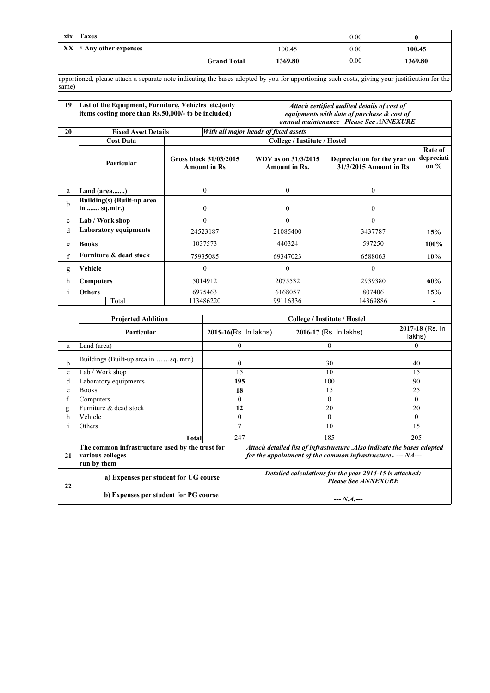| xix | Taxes                             |         | 0.00 |         |
|-----|-----------------------------------|---------|------|---------|
| XX  | $\mathbb{R}$ * Any other expenses | 100.45  | 0.00 | 100.45  |
|     | <b>Grand Total</b>                | 1369.80 | 0.00 | 1369.80 |
|     |                                   |         |      |         |

apportioned, please attach a separate note indicating the bases adopted by you for apportioning such costs, giving your justification for the same)

| 19           | List of the Equipment, Furniture, Vehicles etc.(only<br>items costing more than Rs.50,000/- to be included) |              |                                               | Attach certified audited details of cost of<br>equipments with date of purchase & cost of<br>annual maintenance Please See ANNEXURE |                                             |                                                                                                                                       |        |                                 |  |
|--------------|-------------------------------------------------------------------------------------------------------------|--------------|-----------------------------------------------|-------------------------------------------------------------------------------------------------------------------------------------|---------------------------------------------|---------------------------------------------------------------------------------------------------------------------------------------|--------|---------------------------------|--|
| 20           | <b>Fixed Asset Details</b>                                                                                  |              |                                               | With all major heads of fixed assets                                                                                                |                                             |                                                                                                                                       |        |                                 |  |
|              | <b>Cost Data</b>                                                                                            |              |                                               |                                                                                                                                     | College / Institute / Hostel                |                                                                                                                                       |        |                                 |  |
|              | Particular                                                                                                  |              | Gross block 31/03/2015<br><b>Amount in Rs</b> |                                                                                                                                     | WDV as on 31/3/2015<br><b>Amount in Rs.</b> | Depreciation for the year on<br>31/3/2015 Amount in Rs                                                                                |        | Rate of<br>depreciati<br>on $%$ |  |
| a            | Land (area)                                                                                                 |              | $\mathbf{0}$                                  |                                                                                                                                     | $\mathbf{0}$                                | $\mathbf{0}$                                                                                                                          |        |                                 |  |
| b            | <b>Building(s)</b> (Built-up area<br>in  sq.mtr.)                                                           |              | $\mathbf{0}$                                  |                                                                                                                                     | $\overline{0}$                              | $\overline{0}$                                                                                                                        |        |                                 |  |
| $\mathbf{c}$ | Lab / Work shop                                                                                             |              | $\theta$                                      |                                                                                                                                     | $\theta$                                    | $\mathbf{0}$                                                                                                                          |        |                                 |  |
| d            | <b>Laboratory equipments</b>                                                                                |              | 24523187                                      |                                                                                                                                     | 21085400                                    | 3437787                                                                                                                               |        | 15%                             |  |
| e            | <b>Books</b>                                                                                                |              | 1037573                                       |                                                                                                                                     | 440324                                      | 597250                                                                                                                                |        | 100%                            |  |
| $\mathbf f$  | Furniture & dead stock                                                                                      |              | 75935085                                      |                                                                                                                                     | 69347023                                    | 6588063                                                                                                                               |        |                                 |  |
|              |                                                                                                             |              |                                               |                                                                                                                                     |                                             |                                                                                                                                       |        | 10%                             |  |
| g            | Vehicle                                                                                                     |              | $\boldsymbol{0}$                              | $\theta$                                                                                                                            |                                             | $\Omega$                                                                                                                              |        |                                 |  |
| h            | <b>Computers</b>                                                                                            |              | 5014912<br>2075532                            |                                                                                                                                     | 2939380                                     |                                                                                                                                       | 60%    |                                 |  |
| $\mathbf{i}$ | <b>Others</b>                                                                                               |              | 6975463<br>6168057                            |                                                                                                                                     |                                             | 807406                                                                                                                                |        | 15%                             |  |
|              | Total                                                                                                       |              | 113486220                                     | 99116336                                                                                                                            |                                             | 14369886                                                                                                                              |        | $\blacksquare$                  |  |
|              | <b>Projected Addition</b>                                                                                   |              |                                               |                                                                                                                                     | College / Institute / Hostel                |                                                                                                                                       |        |                                 |  |
|              |                                                                                                             |              |                                               |                                                                                                                                     |                                             |                                                                                                                                       |        | 2017-18 (Rs. In                 |  |
|              | Particular                                                                                                  |              | 2015-16(Rs. In lakhs)                         |                                                                                                                                     |                                             | 2016-17 (Rs. In lakhs)                                                                                                                | lakhs) |                                 |  |
| a            | Land (area)                                                                                                 |              | $\mathbf{0}$                                  |                                                                                                                                     |                                             | $\theta$                                                                                                                              |        | $\theta$                        |  |
| b            | Buildings (Built-up area in sq. mtr.)                                                                       |              | $\mathbf{0}$                                  |                                                                                                                                     |                                             | 30                                                                                                                                    |        | 40                              |  |
| $\mathbf c$  | Lab / Work shop                                                                                             |              | 15                                            |                                                                                                                                     |                                             | 10                                                                                                                                    | 15     |                                 |  |
| d            | Laboratory equipments                                                                                       |              | 195                                           |                                                                                                                                     |                                             | 100                                                                                                                                   |        | 90                              |  |
| $\rm e$      | <b>Books</b>                                                                                                |              | 18                                            |                                                                                                                                     |                                             | 15                                                                                                                                    |        | 25                              |  |
| $\mathbf f$  | Computers<br>Furniture & dead stock                                                                         |              | $\theta$<br>12                                |                                                                                                                                     |                                             | $\mathbf{0}$<br>20                                                                                                                    |        | $\mathbf{0}$<br>20              |  |
| g<br>h       | Vehicle                                                                                                     |              | $\boldsymbol{0}$                              |                                                                                                                                     |                                             | $\mathbf{0}$                                                                                                                          |        | $\overline{0}$                  |  |
| i            | Others                                                                                                      |              | $\overline{7}$                                |                                                                                                                                     |                                             | 10                                                                                                                                    |        | 15                              |  |
|              |                                                                                                             | <b>Total</b> | 247                                           |                                                                                                                                     |                                             | 185                                                                                                                                   | 205    |                                 |  |
| 21           | The common infrastructure used by the trust for<br>various colleges<br>run by them                          |              |                                               |                                                                                                                                     |                                             | Attach detailed list of infrastructure .Also indicate the bases adopted<br>for the appointment of the common infrastructure $. -A$ -- |        |                                 |  |
|              | a) Expenses per student for UG course                                                                       |              |                                               |                                                                                                                                     |                                             | Detailed calculations for the year 2014-15 is attached:<br><b>Please See ANNEXURE</b>                                                 |        |                                 |  |
| 22           | b) Expenses per student for PG course                                                                       |              |                                               |                                                                                                                                     | --- N.A.---                                 |                                                                                                                                       |        |                                 |  |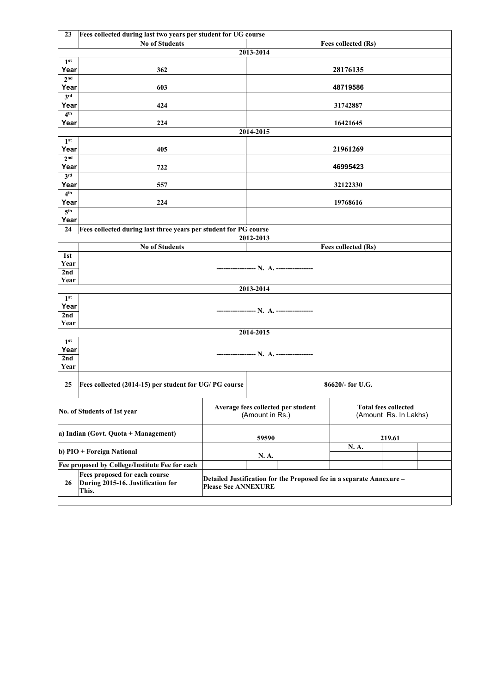| 23                         | Fees collected during last two years per student for UG course              |                            |                                                                      |                     |                                                      |  |
|----------------------------|-----------------------------------------------------------------------------|----------------------------|----------------------------------------------------------------------|---------------------|------------------------------------------------------|--|
|                            | <b>No of Students</b>                                                       |                            |                                                                      | Fees collected (Rs) |                                                      |  |
|                            |                                                                             |                            | 2013-2014                                                            |                     |                                                      |  |
| 1 <sup>st</sup>            |                                                                             |                            |                                                                      |                     |                                                      |  |
| Year                       | 362                                                                         |                            |                                                                      | 28176135            |                                                      |  |
| 2 <sup>nd</sup>            |                                                                             |                            |                                                                      |                     |                                                      |  |
| Year                       | 603                                                                         |                            |                                                                      | 48719586            |                                                      |  |
| 3 <sup>rd</sup><br>Year    | 424                                                                         |                            |                                                                      | 31742887            |                                                      |  |
| 4 <sup>th</sup>            |                                                                             |                            |                                                                      |                     |                                                      |  |
| Year                       | 224                                                                         |                            |                                                                      | 16421645            |                                                      |  |
|                            |                                                                             |                            | 2014-2015                                                            |                     |                                                      |  |
| 1 <sup>st</sup>            |                                                                             |                            |                                                                      |                     |                                                      |  |
| Year                       | 405                                                                         |                            |                                                                      | 21961269            |                                                      |  |
| 2 <sub>nd</sub>            |                                                                             |                            |                                                                      |                     |                                                      |  |
| Year                       | 722                                                                         |                            |                                                                      | 46995423            |                                                      |  |
| 3 <sup>rd</sup>            |                                                                             |                            |                                                                      |                     |                                                      |  |
| Year                       | 557                                                                         |                            |                                                                      | 32122330            |                                                      |  |
| 4 <sup>th</sup><br>Year    | 224                                                                         |                            |                                                                      | 19768616            |                                                      |  |
| $\overline{5}^{\text{th}}$ |                                                                             |                            |                                                                      |                     |                                                      |  |
| Year                       |                                                                             |                            |                                                                      |                     |                                                      |  |
| 24                         | Fees collected during last three years per student for PG course            |                            |                                                                      |                     |                                                      |  |
|                            |                                                                             |                            | 2012-2013                                                            |                     |                                                      |  |
|                            | <b>No of Students</b>                                                       |                            |                                                                      | Fees collected (Rs) |                                                      |  |
| 1st                        |                                                                             |                            |                                                                      |                     |                                                      |  |
| Year                       |                                                                             |                            |                                                                      |                     |                                                      |  |
| 2nd                        |                                                                             |                            |                                                                      |                     |                                                      |  |
| Year                       |                                                                             |                            |                                                                      |                     |                                                      |  |
| 1 <sup>st</sup>            |                                                                             |                            | 2013-2014                                                            |                     |                                                      |  |
| Year                       |                                                                             |                            |                                                                      |                     |                                                      |  |
| 2nd                        |                                                                             |                            |                                                                      |                     |                                                      |  |
| Year                       |                                                                             |                            |                                                                      |                     |                                                      |  |
|                            |                                                                             |                            | 2014-2015                                                            |                     |                                                      |  |
| 1 <sup>st</sup>            |                                                                             |                            |                                                                      |                     |                                                      |  |
| Year                       |                                                                             |                            |                                                                      |                     |                                                      |  |
| 2nd                        |                                                                             |                            |                                                                      |                     |                                                      |  |
| Year                       |                                                                             |                            |                                                                      |                     |                                                      |  |
| 25                         | Fees collected (2014-15) per student for UG/ PG course                      |                            |                                                                      | 86620/- for U.G.    |                                                      |  |
|                            |                                                                             |                            |                                                                      |                     |                                                      |  |
|                            | No. of Students of 1st year                                                 |                            | Average fees collected per student<br>(Amount in Rs.)                |                     | <b>Total fees collected</b><br>(Amount Rs. In Lakhs) |  |
|                            | a) Indian (Govt. Quota + Management)                                        |                            | 59590                                                                |                     | 219.61                                               |  |
|                            | b) PIO + Foreign National                                                   |                            | N. A.                                                                | N.A.                |                                                      |  |
|                            | Fee proposed by College/Institute Fee for each                              |                            |                                                                      |                     |                                                      |  |
| 26                         | Fees proposed for each course<br>During 2015-16. Justification for<br>This. | <b>Please See ANNEXURE</b> | Detailed Justification for the Proposed fee in a separate Annexure - |                     |                                                      |  |
|                            |                                                                             |                            |                                                                      |                     |                                                      |  |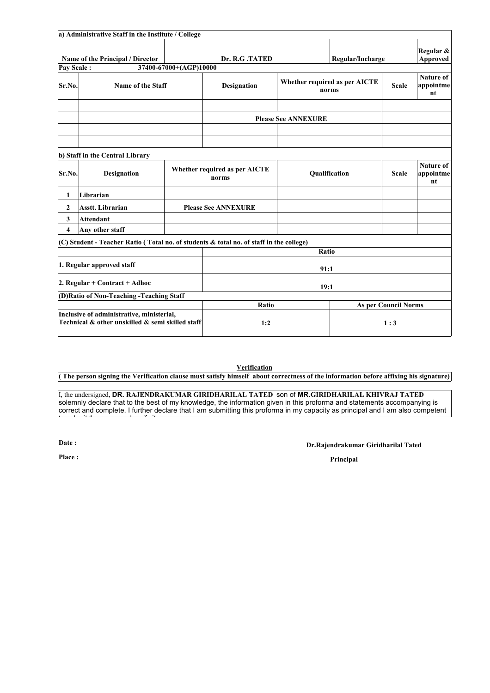|                               | a) Administrative Staff in the Institute / College                                            |                        |                                        |                            |                                        |                             |                                     |  |
|-------------------------------|-----------------------------------------------------------------------------------------------|------------------------|----------------------------------------|----------------------------|----------------------------------------|-----------------------------|-------------------------------------|--|
| Pay Scale:                    | Name of the Principal / Director                                                              | 37400-67000+(AGP)10000 | Dr. R.G.TATED                          |                            | Regular/Incharge                       |                             | Regular &<br><b>Approved</b>        |  |
| Sr.No.                        | Name of the Staff                                                                             |                        | <b>Designation</b>                     |                            | Whether required as per AICTE<br>norms | <b>Scale</b>                | <b>Nature of</b><br>appointme<br>nt |  |
|                               |                                                                                               |                        |                                        | <b>Please See ANNEXURE</b> |                                        |                             |                                     |  |
|                               |                                                                                               |                        |                                        |                            |                                        |                             |                                     |  |
|                               | b) Staff in the Central Library                                                               |                        |                                        |                            |                                        |                             |                                     |  |
| Sr.No.                        | Designation                                                                                   |                        | Whether required as per AICTE<br>norms |                            | Qualification                          | <b>Scale</b>                | Nature of<br>appointme<br>nt        |  |
| 1                             | Librarian                                                                                     |                        |                                        |                            |                                        |                             |                                     |  |
| $\mathbf{2}$                  | <b>Asstt.</b> Librarian                                                                       |                        | <b>Please See ANNEXURE</b>             |                            |                                        |                             |                                     |  |
| 3                             | <b>Attendant</b>                                                                              |                        |                                        |                            |                                        |                             |                                     |  |
| 4                             | Any other staff                                                                               |                        |                                        |                            |                                        |                             |                                     |  |
|                               | (C) Student - Teacher Ratio (Total no. of students & total no. of staff in the college)       |                        |                                        |                            |                                        |                             |                                     |  |
|                               |                                                                                               |                        |                                        | Ratio                      |                                        |                             |                                     |  |
| 1. Regular approved staff     |                                                                                               |                        | 91:1                                   |                            |                                        |                             |                                     |  |
| 2. Regular + Contract + Adhoc |                                                                                               |                        | 19:1                                   |                            |                                        |                             |                                     |  |
|                               | (D) Ratio of Non-Teaching - Teaching Staff                                                    |                        |                                        |                            |                                        |                             |                                     |  |
|                               |                                                                                               |                        | Ratio                                  |                            |                                        | <b>As per Council Norms</b> |                                     |  |
|                               | Inclusive of administrative, ministerial,<br>Technical & other unskilled & semi skilled staff |                        | 1:2                                    |                            |                                        | 1:3                         |                                     |  |

**Verification**

**( The person signing the Verification clause must satisfy himself about correctness of the information before affixing his signature)**

I, the undersigned, **DR. RAJENDRAKUMAR GIRIDHARILAL TATED** son of **MR.GIRIDHARILAL KHIVRAJ TATED** solemnly declare that to the best of my knowledge, the information given in this proforma and statements accompanying is correct and complete. I further declare that I am submitting this proforma in my capacity as principal and I am also competent

**Date :**

 $t \rightarrow t \rightarrow t \rightarrow t$ 

#### **Dr.Rajendrakumar Giridharilal Tated**

**Place : Principal**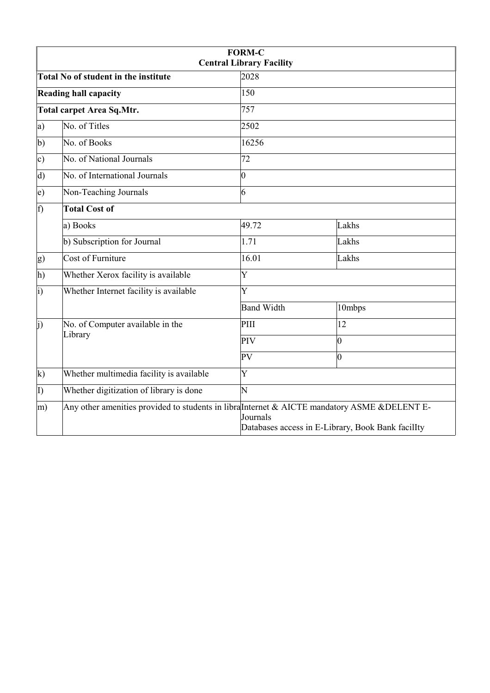| <b>FORM-C</b><br><b>Central Library Facility</b> |                                             |                   |                                                                                                                                                     |  |  |
|--------------------------------------------------|---------------------------------------------|-------------------|-----------------------------------------------------------------------------------------------------------------------------------------------------|--|--|
|                                                  | <b>Total No of student in the institute</b> | 2028              |                                                                                                                                                     |  |  |
| <b>Reading hall capacity</b>                     |                                             | 150               |                                                                                                                                                     |  |  |
| <b>Total carpet Area Sq. Mtr.</b>                |                                             | 757               |                                                                                                                                                     |  |  |
| a)                                               | No. of Titles                               | 2502              |                                                                                                                                                     |  |  |
| b)                                               | No. of Books                                | 16256             |                                                                                                                                                     |  |  |
| c)                                               | No. of National Journals                    | 72                |                                                                                                                                                     |  |  |
| $\vert d$                                        | No. of International Journals               | $\overline{0}$    |                                                                                                                                                     |  |  |
| $\epsilon$ )                                     | Non-Teaching Journals                       | 6                 |                                                                                                                                                     |  |  |
| f)                                               | <b>Total Cost of</b>                        |                   |                                                                                                                                                     |  |  |
|                                                  | a) Books                                    | 49.72             | Lakhs                                                                                                                                               |  |  |
|                                                  | b) Subscription for Journal                 | 1.71              | Lakhs                                                                                                                                               |  |  |
| g)                                               | <b>Cost of Furniture</b>                    | 16.01             | Lakhs                                                                                                                                               |  |  |
| $ h\rangle$                                      | Whether Xerox facility is available         | Y                 |                                                                                                                                                     |  |  |
| $\vert i)$                                       | Whether Internet facility is available      | Y                 |                                                                                                                                                     |  |  |
|                                                  |                                             | <b>Band Width</b> | 10mbps                                                                                                                                              |  |  |
| $\vert$ i)                                       | No. of Computer available in the<br>Library | PIII              | 12                                                                                                                                                  |  |  |
|                                                  |                                             | PIV               | $ 0\rangle$                                                                                                                                         |  |  |
|                                                  |                                             | PV                | $ 0\rangle$                                                                                                                                         |  |  |
| $\bf k$                                          | Whether multimedia facility is available    | Y                 |                                                                                                                                                     |  |  |
| $\vert$ I)                                       | Whether digitization of library is done     | N                 |                                                                                                                                                     |  |  |
| m)                                               |                                             | Journals          | Any other amenities provided to students in libral Internet & AICTE mandatory ASME & DELENT E-<br>Databases access in E-Library, Book Bank facilIty |  |  |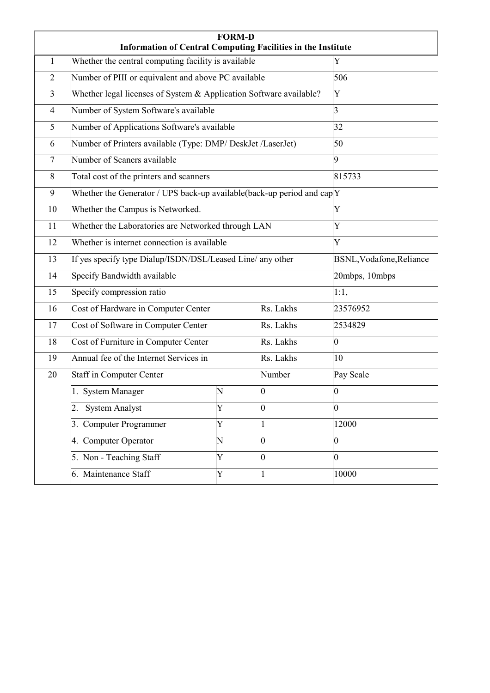|                | <b>Information of Central Computing Facilities in the Institute</b>      | <b>FORM-D</b> |                |                          |
|----------------|--------------------------------------------------------------------------|---------------|----------------|--------------------------|
| $\mathbf{1}$   | Whether the central computing facility is available                      |               |                | Y                        |
| $\overline{2}$ | Number of PIII or equivalent and above PC available                      |               |                | 506                      |
| $\overline{3}$ | Whether legal licenses of System & Application Software available?       |               |                | Y                        |
| $\overline{4}$ | Number of System Software's available                                    |               |                | 3                        |
| 5              | Number of Applications Software's available                              |               |                | 32                       |
| 6              | Number of Printers available (Type: DMP/ DeskJet /LaserJet)              |               |                | 50                       |
| $\overline{7}$ | Number of Scaners available                                              |               |                | 9                        |
| 8              | Total cost of the printers and scanners                                  |               |                | 815733                   |
| 9              | Whether the Generator / UPS back-up available (back-up period and $capY$ |               |                |                          |
| 10             | Whether the Campus is Networked.                                         |               |                | Y                        |
| 11             | Whether the Laboratories are Networked through LAN                       |               |                | Y                        |
| 12             | Whether is internet connection is available                              |               |                | Y                        |
| 13             | If yes specify type Dialup/ISDN/DSL/Leased Line/ any other               |               |                | BSNL, Vodafone, Reliance |
| 14             | Specify Bandwidth available                                              |               |                | 20mbps, 10mbps           |
| 15             | Specify compression ratio                                                |               |                | 1:1,                     |
| 16             | Cost of Hardware in Computer Center                                      |               | Rs. Lakhs      | 23576952                 |
| 17             | Cost of Software in Computer Center                                      |               | Rs. Lakhs      | 2534829                  |
| 18             | Cost of Furniture in Computer Center                                     |               | Rs. Lakhs      | $\vert 0 \vert$          |
| 19             | Annual fee of the Internet Services in                                   |               | Rs. Lakhs      | 10                       |
| 20             | <b>Staff in Computer Center</b>                                          |               | Number         | Pay Scale                |
|                | 1. System Manager                                                        | N             | $ 0\rangle$    | $ 0\rangle$              |
|                | <b>System Analyst</b>                                                    | Y             | $\overline{0}$ | 0                        |
|                | 3. Computer Programmer                                                   | Y             | 1              | 12000                    |
|                | 4. Computer Operator                                                     | N             | $ 0\rangle$    | $\vert 0 \vert$          |
|                | 5. Non - Teaching Staff                                                  | Y             | $\overline{0}$ | $\overline{0}$           |
|                | 6. Maintenance Staff                                                     | Y             | 1              | 10000                    |